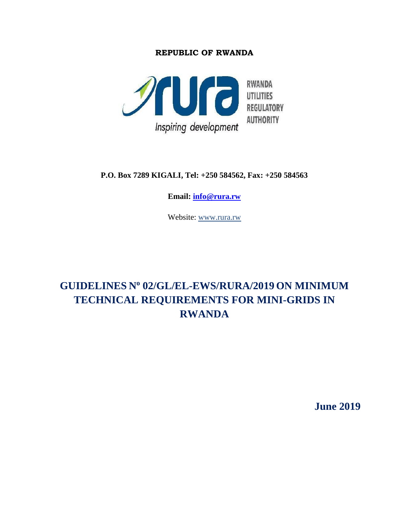#### **REPUBLIC OF RWANDA**



**P.O. Box 7289 KIGALI, Tel: +250 584562, Fax: +250 584563**

**Email: [info@rura.rw](mailto:info@rura.rw)**

Website: [www.rura.rw](http://www.rura.rw/)

# **GUIDELINES N o 02/GL/EL-EWS/RURA/2019 ON MINIMUM TECHNICAL REQUIREMENTS FOR MINI-GRIDS IN RWANDA**

**June 2019**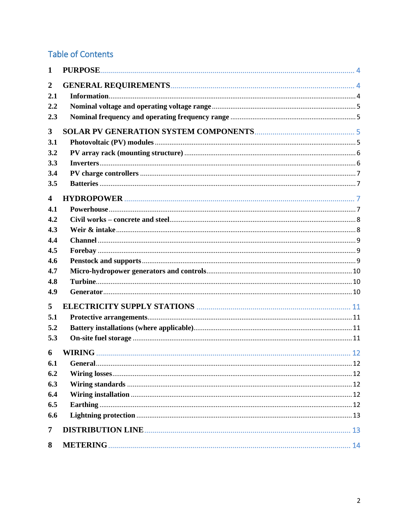# **Table of Contents**

| $\mathbf{1}$            | PURPOSE. |
|-------------------------|----------|
| $\boldsymbol{2}$        |          |
| 2.1                     |          |
| 2.2                     |          |
| 2.3                     |          |
| $\overline{\mathbf{3}}$ |          |
| 3.1                     |          |
| 3.2                     |          |
| 3.3                     |          |
| 3.4                     |          |
| 3.5                     |          |
| $\overline{\mathbf{4}}$ |          |
| 4.1                     |          |
| 4.2                     |          |
| 4.3                     |          |
| 4.4                     |          |
| 4.5                     |          |
| 4.6                     |          |
| 4.7                     |          |
| 4.8                     |          |
| 4.9                     |          |
| 5                       |          |
| 5.1                     |          |
| 5.2                     |          |
| 5.3                     |          |
| 6                       |          |
| 6.1                     |          |
| 6.2                     |          |
| 6.3                     |          |
| 6.4                     |          |
| 6.5                     |          |
| 6.6                     |          |
| 7                       |          |
| 8                       |          |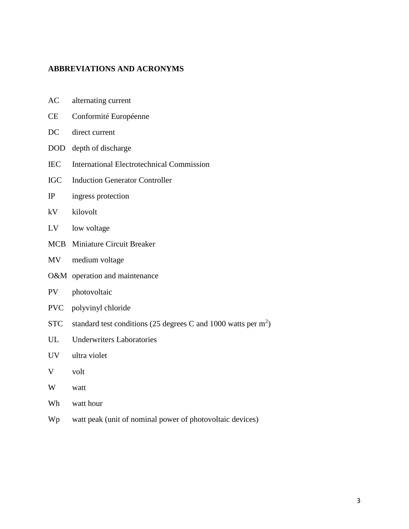#### **ABBREVIATIONS AND ACRONYMS**

| AC<br>alternating current |  |
|---------------------------|--|
|---------------------------|--|

- CE Conformité Européenne
- DC direct current
- DOD depth of discharge
- IEC International Electrotechnical Commission
- IGC Induction Generator Controller
- IP ingress protection
- kV kilovolt
- LV low voltage
- MCB Miniature Circuit Breaker
- MV medium voltage
- O&M operation and maintenance
- PV photovoltaic
- PVC polyvinyl chloride
- STC standard test conditions (25 degrees C and 1000 watts per  $m<sup>2</sup>$ )
- UL Underwriters Laboratories
- UV ultra violet
- V volt
- W watt
- Wh watt hour
- Wp watt peak (unit of nominal power of photovoltaic devices)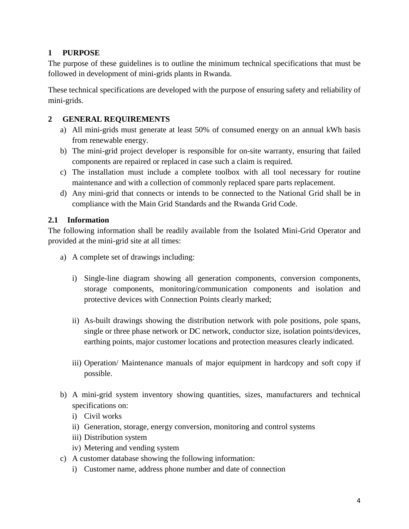## **1 PURPOSE**

The purpose of these guidelines is to outline the minimum technical specifications that must be followed in development of mini-grids plants in Rwanda.

These technical specifications are developed with the purpose of ensuring safety and reliability of mini-grids.

## **2 GENERAL REQUIREMENTS**

- a) All mini-grids must generate at least 50% of consumed energy on an annual kWh basis from renewable energy.
- b) The mini-grid project developer is responsible for on-site warranty, ensuring that failed components are repaired or replaced in case such a claim is required.
- c) The installation must include a complete toolbox with all tool necessary for routine maintenance and with a collection of commonly replaced spare parts replacement.
- d) Any mini-grid that connects or intends to be connected to the National Grid shall be in compliance with the Main Grid Standards and the Rwanda Grid Code.

## **2.1 Information**

The following information shall be readily available from the Isolated Mini-Grid Operator and provided at the mini-grid site at all times:

- a) A complete set of drawings including:
	- i) Single-line diagram showing all generation components, conversion components, storage components, monitoring/communication components and isolation and protective devices with Connection Points clearly marked;
	- ii) As-built drawings showing the distribution network with pole positions, pole spans, single or three phase network or DC network, conductor size, isolation points/devices, earthing points, major customer locations and protection measures clearly indicated.
	- iii) Operation/ Maintenance manuals of major equipment in hardcopy and soft copy if possible.
- b) A mini-grid system inventory showing quantities, sizes, manufacturers and technical specifications on:
	- i) Civil works
	- ii) Generation, storage, energy conversion, monitoring and control systems
	- iii) Distribution system
	- iv) Metering and vending system
- c) A customer database showing the following information:
	- i) Customer name, address phone number and date of connection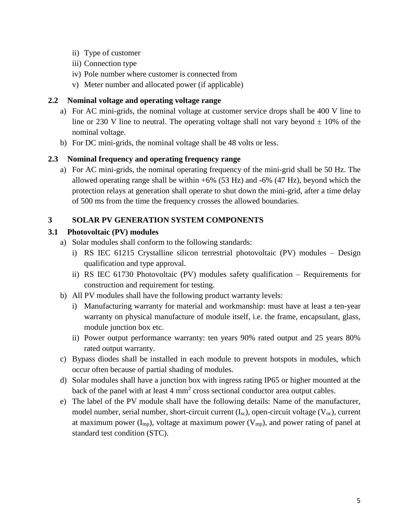- ii) Type of customer
- iii) Connection type
- iv) Pole number where customer is connected from
- v) Meter number and allocated power (if applicable)

#### **2.2 Nominal voltage and operating voltage range**

- a) For AC mini-grids, the nominal voltage at customer service drops shall be 400 V line to line or 230 V line to neutral. The operating voltage shall not vary beyond  $\pm$  10% of the nominal voltage.
- b) For DC mini-grids, the nominal voltage shall be 48 volts or less.

#### **2.3 Nominal frequency and operating frequency range**

a) For AC mini-grids, the nominal operating frequency of the mini-grid shall be 50 Hz. The allowed operating range shall be within  $+6\%$  (53 Hz) and  $-6\%$  (47 Hz), beyond which the protection relays at generation shall operate to shut down the mini-grid, after a time delay of 500 ms from the time the frequency crosses the allowed boundaries.

#### **3 SOLAR PV GENERATION SYSTEM COMPONENTS**

#### **3.1 Photovoltaic (PV) modules**

- a) Solar modules shall conform to the following standards:
	- i) RS IEC 61215 Crystalline silicon terrestrial photovoltaic (PV) modules Design qualification and type approval.
	- ii) RS IEC 61730 Photovoltaic (PV) modules safety qualification Requirements for construction and requirement for testing.
- b) All PV modules shall have the following product warranty levels:
	- i) Manufacturing warranty for material and workmanship: must have at least a ten-year warranty on physical manufacture of module itself, i.e. the frame, encapsulant, glass, module junction box etc.
	- ii) Power output performance warranty: ten years 90% rated output and 25 years 80% rated output warranty.
- c) Bypass diodes shall be installed in each module to prevent hotspots in modules, which occur often because of partial shading of modules.
- d) Solar modules shall have a junction box with ingress rating IP65 or higher mounted at the back of the panel with at least  $4 \text{ mm}^2$  cross sectional conductor area output cables.
- e) The label of the PV module shall have the following details: Name of the manufacturer, model number, serial number, short-circuit current  $(I_{sc})$ , open-circuit voltage  $(V_{oc})$ , current at maximum power  $(I_{mp})$ , voltage at maximum power  $(V_{mp})$ , and power rating of panel at standard test condition (STC).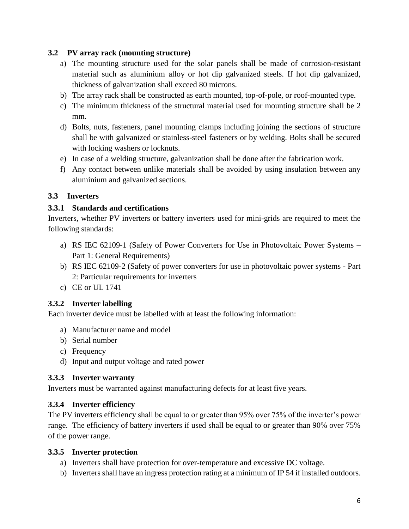## **3.2 PV array rack (mounting structure)**

- a) The mounting structure used for the solar panels shall be made of corrosion-resistant material such as aluminium alloy or hot dip galvanized steels. If hot dip galvanized, thickness of galvanization shall exceed 80 microns.
- b) The array rack shall be constructed as earth mounted, top-of-pole, or roof-mounted type.
- c) The minimum thickness of the structural material used for mounting structure shall be 2 mm.
- d) Bolts, nuts, fasteners, panel mounting clamps including joining the sections of structure shall be with galvanized or stainless-steel fasteners or by welding. Bolts shall be secured with locking washers or locknuts.
- e) In case of a welding structure, galvanization shall be done after the fabrication work.
- f) Any contact between unlike materials shall be avoided by using insulation between any aluminium and galvanized sections.

## **3.3 Inverters**

## **3.3.1 Standards and certifications**

Inverters, whether PV inverters or battery inverters used for mini-grids are required to meet the following standards:

- a) RS IEC 62109-1 (Safety of Power Converters for Use in Photovoltaic Power Systems Part 1: General Requirements)
- b) RS IEC 62109-2 (Safety of power converters for use in photovoltaic power systems Part 2: Particular requirements for inverters
- c) CE or UL 1741

## **3.3.2 Inverter labelling**

Each inverter device must be labelled with at least the following information:

- a) Manufacturer name and model
- b) Serial number
- c) Frequency
- d) Input and output voltage and rated power

## **3.3.3 Inverter warranty**

Inverters must be warranted against manufacturing defects for at least five years.

## **3.3.4 Inverter efficiency**

The PV inverters efficiency shall be equal to or greater than 95% over 75% of the inverter's power range. The efficiency of battery inverters if used shall be equal to or greater than 90% over 75% of the power range.

#### **3.3.5 Inverter protection**

- a) Inverters shall have protection for over-temperature and excessive DC voltage.
- b) Inverters shall have an ingress protection rating at a minimum of IP 54 if installed outdoors.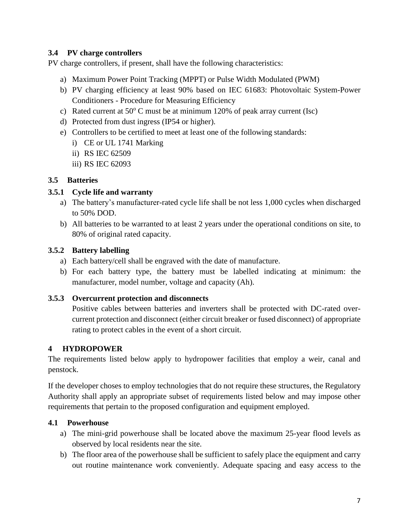#### **3.4 PV charge controllers**

PV charge controllers, if present, shall have the following characteristics:

- a) Maximum Power Point Tracking (MPPT) or Pulse Width Modulated (PWM)
- b) PV charging efficiency at least 90% based on IEC 61683: Photovoltaic System-Power Conditioners - Procedure for Measuring Efficiency
- c) Rated current at  $50^{\circ}$  C must be at minimum 120% of peak array current (Isc)
- d) Protected from dust ingress (IP54 or higher).
- e) Controllers to be certified to meet at least one of the following standards:
	- i) CE or UL 1741 Marking
	- ii) RS IEC 62509
	- iii) RS IEC 62093

#### **3.5 Batteries**

#### **3.5.1 Cycle life and warranty**

- a) The battery's manufacturer-rated cycle life shall be not less 1,000 cycles when discharged to 50% DOD.
- b) All batteries to be warranted to at least 2 years under the operational conditions on site, to 80% of original rated capacity.

#### **3.5.2 Battery labelling**

- a) Each battery/cell shall be engraved with the date of manufacture.
- b) For each battery type, the battery must be labelled indicating at minimum: the manufacturer, model number, voltage and capacity (Ah).

#### **3.5.3 Overcurrent protection and disconnects**

Positive cables between batteries and inverters shall be protected with DC-rated overcurrent protection and disconnect (either circuit breaker or fused disconnect) of appropriate rating to protect cables in the event of a short circuit.

#### **4 HYDROPOWER**

The requirements listed below apply to hydropower facilities that employ a weir, canal and penstock.

If the developer choses to employ technologies that do not require these structures, the Regulatory Authority shall apply an appropriate subset of requirements listed below and may impose other requirements that pertain to the proposed configuration and equipment employed.

#### **4.1 Powerhouse**

- a) The mini-grid powerhouse shall be located above the maximum 25-year flood levels as observed by local residents near the site.
- b) The floor area of the powerhouse shall be sufficient to safely place the equipment and carry out routine maintenance work conveniently. Adequate spacing and easy access to the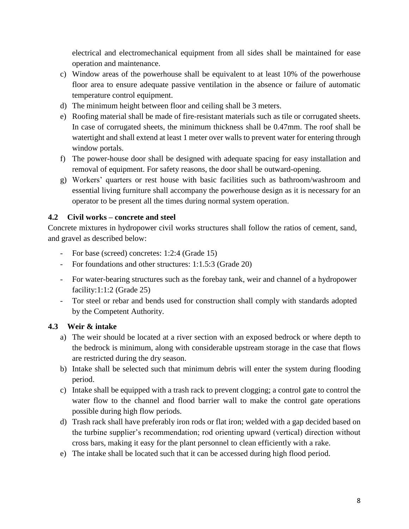electrical and electromechanical equipment from all sides shall be maintained for ease operation and maintenance.

- c) Window areas of the powerhouse shall be equivalent to at least 10% of the powerhouse floor area to ensure adequate passive ventilation in the absence or failure of automatic temperature control equipment.
- d) The minimum height between floor and ceiling shall be 3 meters.
- e) Roofing material shall be made of fire-resistant materials such as tile or corrugated sheets. In case of corrugated sheets, the minimum thickness shall be 0.47mm. The roof shall be watertight and shall extend at least 1 meter over walls to prevent water for entering through window portals.
- f) The power-house door shall be designed with adequate spacing for easy installation and removal of equipment. For safety reasons, the door shall be outward-opening.
- g) Workers' quarters or rest house with basic facilities such as bathroom/washroom and essential living furniture shall accompany the powerhouse design as it is necessary for an operator to be present all the times during normal system operation.

## **4.2 Civil works – concrete and steel**

Concrete mixtures in hydropower civil works structures shall follow the ratios of cement, sand, and gravel as described below:

- For base (screed) concretes: 1:2:4 (Grade 15)
- For foundations and other structures: 1:1.5:3 (Grade 20)
- For water-bearing structures such as the forebay tank, weir and channel of a hydropower facility:1:1:2 (Grade 25)
- Tor steel or rebar and bends used for construction shall comply with standards adopted by the Competent Authority.

#### **4.3 Weir & intake**

- a) The weir should be located at a river section with an exposed bedrock or where depth to the bedrock is minimum, along with considerable upstream storage in the case that flows are restricted during the dry season.
- b) Intake shall be selected such that minimum debris will enter the system during flooding period.
- c) Intake shall be equipped with a trash rack to prevent clogging; a control gate to control the water flow to the channel and flood barrier wall to make the control gate operations possible during high flow periods.
- d) Trash rack shall have preferably iron rods or flat iron; welded with a gap decided based on the turbine supplier's recommendation; rod orienting upward (vertical) direction without cross bars, making it easy for the plant personnel to clean efficiently with a rake.
- e) The intake shall be located such that it can be accessed during high flood period.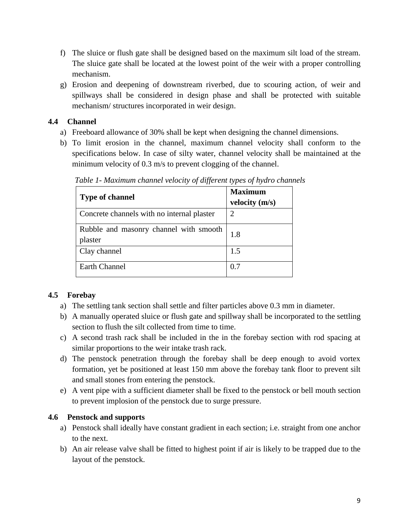- f) The sluice or flush gate shall be designed based on the maximum silt load of the stream. The sluice gate shall be located at the lowest point of the weir with a proper controlling mechanism.
- g) Erosion and deepening of downstream riverbed, due to scouring action, of weir and spillways shall be considered in design phase and shall be protected with suitable mechanism/ structures incorporated in weir design.

## **4.4 Channel**

- a) Freeboard allowance of 30% shall be kept when designing the channel dimensions.
- b) To limit erosion in the channel, maximum channel velocity shall conform to the specifications below. In case of silty water, channel velocity shall be maintained at the minimum velocity of 0.3 m/s to prevent clogging of the channel.

| <b>Type of channel</b>                            | <b>Maximum</b><br>velocity (m/s) |
|---------------------------------------------------|----------------------------------|
| Concrete channels with no internal plaster        | 2                                |
| Rubble and masonry channel with smooth<br>plaster | 1.8                              |
| Clay channel                                      | 1.5                              |
| <b>Earth Channel</b>                              | 0.7                              |

*Table 1- Maximum channel velocity of different types of hydro channels* 

## **4.5 Forebay**

- a) The settling tank section shall settle and filter particles above 0.3 mm in diameter.
- b) A manually operated sluice or flush gate and spillway shall be incorporated to the settling section to flush the silt collected from time to time.
- c) A second trash rack shall be included in the in the forebay section with rod spacing at similar proportions to the weir intake trash rack.
- d) The penstock penetration through the forebay shall be deep enough to avoid vortex formation, yet be positioned at least 150 mm above the forebay tank floor to prevent silt and small stones from entering the penstock.
- e) A vent pipe with a sufficient diameter shall be fixed to the penstock or bell mouth section to prevent implosion of the penstock due to surge pressure.

## **4.6 Penstock and supports**

- a) Penstock shall ideally have constant gradient in each section; i.e. straight from one anchor to the next.
- b) An air release valve shall be fitted to highest point if air is likely to be trapped due to the layout of the penstock.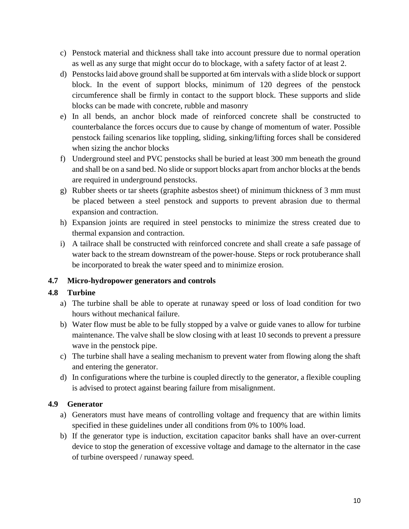- c) Penstock material and thickness shall take into account pressure due to normal operation as well as any surge that might occur do to blockage, with a safety factor of at least 2.
- d) Penstocks laid above ground shall be supported at 6m intervals with a slide block or support block. In the event of support blocks, minimum of 120 degrees of the penstock circumference shall be firmly in contact to the support block. These supports and slide blocks can be made with concrete, rubble and masonry
- e) In all bends, an anchor block made of reinforced concrete shall be constructed to counterbalance the forces occurs due to cause by change of momentum of water. Possible penstock failing scenarios like toppling, sliding, sinking/lifting forces shall be considered when sizing the anchor blocks
- f) Underground steel and PVC penstocks shall be buried at least 300 mm beneath the ground and shall be on a sand bed. No slide or support blocks apart from anchor blocks at the bends are required in underground penstocks.
- g) Rubber sheets or tar sheets (graphite asbestos sheet) of minimum thickness of 3 mm must be placed between a steel penstock and supports to prevent abrasion due to thermal expansion and contraction.
- h) Expansion joints are required in steel penstocks to minimize the stress created due to thermal expansion and contraction.
- i) A tailrace shall be constructed with reinforced concrete and shall create a safe passage of water back to the stream downstream of the power-house. Steps or rock protuberance shall be incorporated to break the water speed and to minimize erosion.

## **4.7 Micro-hydropower generators and controls**

## **4.8 Turbine**

- a) The turbine shall be able to operate at runaway speed or loss of load condition for two hours without mechanical failure.
- b) Water flow must be able to be fully stopped by a valve or guide vanes to allow for turbine maintenance. The valve shall be slow closing with at least 10 seconds to prevent a pressure wave in the penstock pipe.
- c) The turbine shall have a sealing mechanism to prevent water from flowing along the shaft and entering the generator.
- d) In configurations where the turbine is coupled directly to the generator, a flexible coupling is advised to protect against bearing failure from misalignment.

## **4.9 Generator**

- a) Generators must have means of controlling voltage and frequency that are within limits specified in these guidelines under all conditions from 0% to 100% load.
- b) If the generator type is induction, excitation capacitor banks shall have an over-current device to stop the generation of excessive voltage and damage to the alternator in the case of turbine overspeed / runaway speed.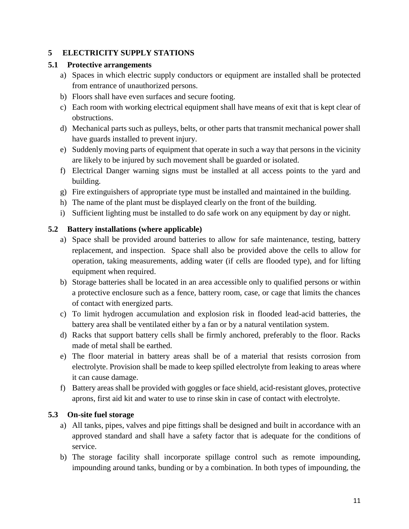## **5 ELECTRICITY SUPPLY STATIONS**

#### **5.1 Protective arrangements**

- a) Spaces in which electric supply conductors or equipment are installed shall be protected from entrance of unauthorized persons.
- b) Floors shall have even surfaces and secure footing.
- c) Each room with working electrical equipment shall have means of exit that is kept clear of obstructions.
- d) Mechanical parts such as pulleys, belts, or other parts that transmit mechanical power shall have guards installed to prevent injury.
- e) Suddenly moving parts of equipment that operate in such a way that persons in the vicinity are likely to be injured by such movement shall be guarded or isolated.
- f) Electrical Danger warning signs must be installed at all access points to the yard and building.
- g) Fire extinguishers of appropriate type must be installed and maintained in the building.
- h) The name of the plant must be displayed clearly on the front of the building.
- i) Sufficient lighting must be installed to do safe work on any equipment by day or night.

## **5.2 Battery installations (where applicable)**

- a) Space shall be provided around batteries to allow for safe maintenance, testing, battery replacement, and inspection. Space shall also be provided above the cells to allow for operation, taking measurements, adding water (if cells are flooded type), and for lifting equipment when required.
- b) Storage batteries shall be located in an area accessible only to qualified persons or within a protective enclosure such as a fence, battery room, case, or cage that limits the chances of contact with energized parts.
- c) To limit hydrogen accumulation and explosion risk in flooded lead-acid batteries, the battery area shall be ventilated either by a fan or by a natural ventilation system.
- d) Racks that support battery cells shall be firmly anchored, preferably to the floor. Racks made of metal shall be earthed.
- e) The floor material in battery areas shall be of a material that resists corrosion from electrolyte. Provision shall be made to keep spilled electrolyte from leaking to areas where it can cause damage.
- f) Battery areas shall be provided with goggles or face shield, acid-resistant gloves, protective aprons, first aid kit and water to use to rinse skin in case of contact with electrolyte.

#### **5.3 On-site fuel storage**

- a) All tanks, pipes, valves and pipe fittings shall be designed and built in accordance with an approved standard and shall have a safety factor that is adequate for the conditions of service.
- b) The storage facility shall incorporate spillage control such as remote impounding, impounding around tanks, bunding or by a combination. In both types of impounding, the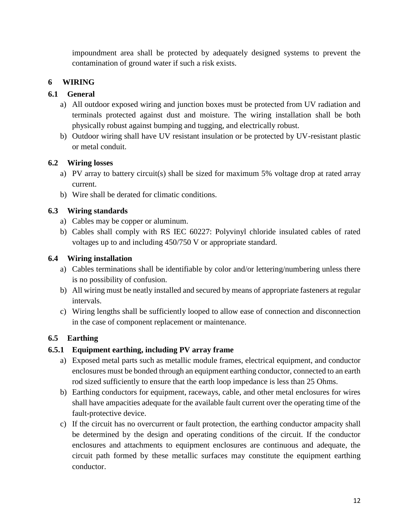impoundment area shall be protected by adequately designed systems to prevent the contamination of ground water if such a risk exists.

## **6 WIRING**

## **6.1 General**

- a) All outdoor exposed wiring and junction boxes must be protected from UV radiation and terminals protected against dust and moisture. The wiring installation shall be both physically robust against bumping and tugging, and electrically robust.
- b) Outdoor wiring shall have UV resistant insulation or be protected by UV-resistant plastic or metal conduit.

## **6.2 Wiring losses**

- a) PV array to battery circuit(s) shall be sized for maximum 5% voltage drop at rated array current.
- b) Wire shall be derated for climatic conditions.

## **6.3 Wiring standards**

- a) Cables may be copper or aluminum.
- b) Cables shall comply with RS IEC 60227: Polyvinyl chloride insulated cables of rated voltages up to and including 450/750 V or appropriate standard.

## **6.4 Wiring installation**

- a) Cables terminations shall be identifiable by color and/or lettering/numbering unless there is no possibility of confusion.
- b) All wiring must be neatly installed and secured by means of appropriate fasteners at regular intervals.
- c) Wiring lengths shall be sufficiently looped to allow ease of connection and disconnection in the case of component replacement or maintenance.

## **6.5 Earthing**

## **6.5.1 Equipment earthing, including PV array frame**

- a) Exposed metal parts such as metallic module frames, electrical equipment, and conductor enclosures must be bonded through an equipment earthing conductor, connected to an earth rod sized sufficiently to ensure that the earth loop impedance is less than 25 Ohms.
- b) Earthing conductors for equipment, raceways, cable, and other metal enclosures for wires shall have ampacities adequate for the available fault current over the operating time of the fault-protective device.
- c) If the circuit has no overcurrent or fault protection, the earthing conductor ampacity shall be determined by the design and operating conditions of the circuit. If the conductor enclosures and attachments to equipment enclosures are continuous and adequate, the circuit path formed by these metallic surfaces may constitute the equipment earthing conductor.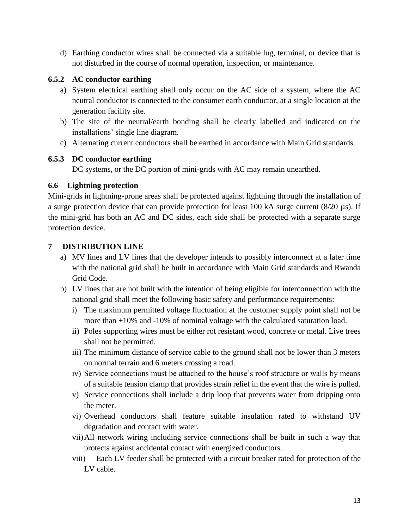d) Earthing conductor wires shall be connected via a suitable lug, terminal, or device that is not disturbed in the course of normal operation, inspection, or maintenance.

## **6.5.2 AC conductor earthing**

- a) System electrical earthing shall only occur on the AC side of a system, where the AC neutral conductor is connected to the consumer earth conductor, at a single location at the generation facility site.
- b) The site of the neutral/earth bonding shall be clearly labelled and indicated on the installations' single line diagram.
- c) Alternating current conductors shall be earthed in accordance with Main Grid standards*.*

## **6.5.3 DC conductor earthing**

DC systems, or the DC portion of mini-grids with AC may remain unearthed.

## **6.6 Lightning protection**

Mini-grids in lightning-prone areas shall be protected against lightning through the installation of a surge protection device that can provide protection for least 100 kA surge current (8/20 µs). If the mini-grid has both an AC and DC sides, each side shall be protected with a separate surge protection device.

## **7 DISTRIBUTION LINE**

- a) MV lines and LV lines that the developer intends to possibly interconnect at a later time with the national grid shall be built in accordance with Main Grid standards and Rwanda Grid Code.
- b) LV lines that are not built with the intention of being eligible for interconnection with the national grid shall meet the following basic safety and performance requirements:
	- i) The maximum permitted voltage fluctuation at the customer supply point shall not be more than +10% and -10% of nominal voltage with the calculated saturation load.
	- ii) Poles supporting wires must be either rot resistant wood, concrete or metal. Live trees shall not be permitted.
	- iii) The minimum distance of service cable to the ground shall not be lower than 3 meters on normal terrain and 6 meters crossing a road.
	- iv) Service connections must be attached to the house's roof structure or walls by means of a suitable tension clamp that provides strain relief in the event that the wire is pulled.
	- v) Service connections shall include a drip loop that prevents water from dripping onto the meter.
	- vi) Overhead conductors shall feature suitable insulation rated to withstand UV degradation and contact with water.
	- vii)All network wiring including service connections shall be built in such a way that protects against accidental contact with energized conductors.
	- viii) Each LV feeder shall be protected with a circuit breaker rated for protection of the LV cable.